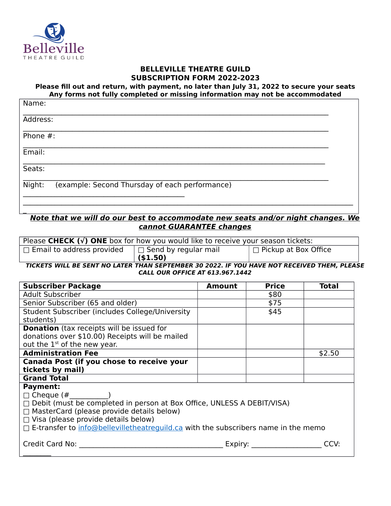

 $\overline{a}$ 

## **BELLEVILLE THEATRE GUILD SUBSCRIPTION FORM 2022-2023**

**Please fill out and return, with payment, no later than July 31, 2022 to secure your seats Any forms not fully completed or missing information may not be accommodated**

| Name:                                                    |  |
|----------------------------------------------------------|--|
| Address:                                                 |  |
| Phone $#$ :                                              |  |
| Email:                                                   |  |
| Seats:                                                   |  |
| Night:<br>(example: Second Thursday of each performance) |  |

## **Note that we will do our best to accommodate new seats and/or night changes. We cannot GUARANTEE changes**

| Please CHECK $(v)$ ONE box for how you would like to receive your season tickets:           |                                   |                              |  |  |  |
|---------------------------------------------------------------------------------------------|-----------------------------------|------------------------------|--|--|--|
| $\Box$ Email to address provided                                                            | $\perp \Box$ Send by regular mail | $\perp$ Pickup at Box Office |  |  |  |
|                                                                                             | ( \$1.50)                         |                              |  |  |  |
| TICKETC WILL BE CENT NO LATER TUAN CERTEMBER 30 3033. IF VOILUAVE NOT BECENIER TUEM, BLEACH |                                   |                              |  |  |  |

**TICKETS WILL BE SENT NO LATER THAN SEPTEMBER 30 2022. IF YOU HAVE NOT RECEIVED THEM, PLEASE CALL OUR OFFICE AT 613.967.1442**

| <b>Subscriber Package</b>                                                            | <b>Amount</b> | <b>Price</b> | <b>Total</b> |  |
|--------------------------------------------------------------------------------------|---------------|--------------|--------------|--|
| <b>Adult Subscriber</b>                                                              |               | \$80         |              |  |
| Senior Subscriber (65 and older)                                                     |               | \$75         |              |  |
| Student Subscriber (includes College/University                                      |               | \$45         |              |  |
| students)                                                                            |               |              |              |  |
| <b>Donation</b> (tax receipts will be issued for                                     |               |              |              |  |
| donations over \$10.00) Receipts will be mailed                                      |               |              |              |  |
| out the 1 <sup>st</sup> of the new year.                                             |               |              |              |  |
| <b>Administration Fee</b>                                                            |               |              | \$2.50       |  |
| Canada Post (if you chose to receive your                                            |               |              |              |  |
| tickets by mail)                                                                     |               |              |              |  |
| <b>Grand Total</b>                                                                   |               |              |              |  |
| <b>Payment:</b>                                                                      |               |              |              |  |
| $\Box$ Cheque (#                                                                     |               |              |              |  |
| □ Debit (must be completed in person at Box Office, UNLESS A DEBIT/VISA)             |               |              |              |  |
| $\Box$ MasterCard (please provide details below)                                     |               |              |              |  |
| $\Box$ Visa (please provide details below)                                           |               |              |              |  |
| □ E-transfer to info@bellevilletheatreguild.ca with the subscribers name in the memo |               |              |              |  |
| Credit Card No:                                                                      | Expiry:       |              | CCV:         |  |
|                                                                                      |               |              |              |  |